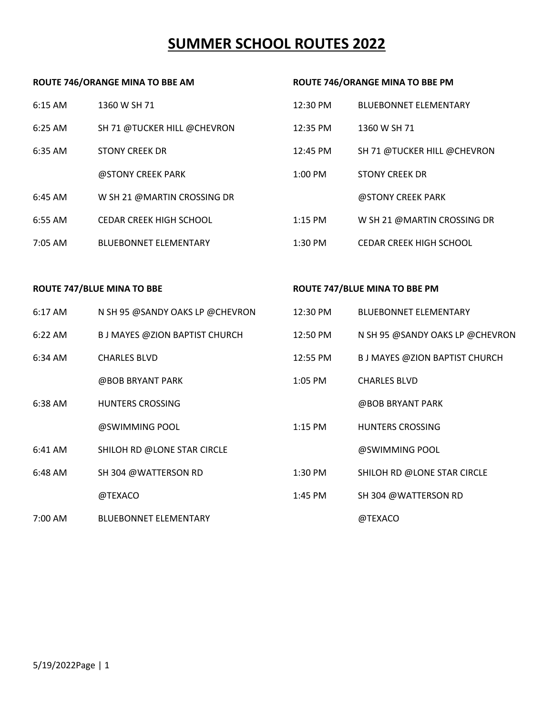## **ROUTE 746/ORANGE MINA TO BBE AM**

#### **ROUTE 746/ORANGE MINA TO BBE PM**

| $6:15$ AM         | 1360 W SH 71                 | 12:30 PM  | <b>BLUEBONNET ELEMENTARY</b>   |
|-------------------|------------------------------|-----------|--------------------------------|
| $6:25 \text{ AM}$ | SH 71 @TUCKER HILL @CHEVRON  | 12:35 PM  | 1360 W SH 71                   |
| $6:35$ AM         | <b>STONY CREEK DR</b>        | 12:45 PM  | SH 71 @TUCKER HILL @CHEVRON    |
|                   | @STONY CREEK PARK            | $1:00$ PM | <b>STONY CREEK DR</b>          |
| 6:45 AM           | W SH 21 @MARTIN CROSSING DR  |           | @STONY CREEK PARK              |
| $6:55$ AM         | CEDAR CREEK HIGH SCHOOL      | $1:15$ PM | W SH 21 @MARTIN CROSSING DR    |
| 7:05 AM           | <b>BLUEBONNET ELEMENTARY</b> | $1:30$ PM | <b>CEDAR CREEK HIGH SCHOOL</b> |

## **ROUTE 747/BLUE MINA TO BBE**

### **ROUTE 747/BLUE MINA TO BBE PM**

| $6:17 \text{ AM}$ | N SH 95 @SANDY OAKS LP @CHEVRON | 12:30 PM  | <b>BLUEBONNET ELEMENTARY</b>    |
|-------------------|---------------------------------|-----------|---------------------------------|
| $6:22$ AM         | B J MAYES @ZION BAPTIST CHURCH  | 12:50 PM  | N SH 95 @SANDY OAKS LP @CHEVRON |
| 6:34 AM           | <b>CHARLES BLVD</b>             | 12:55 PM  | B J MAYES @ZION BAPTIST CHURCH  |
|                   | @BOB BRYANT PARK                | $1:05$ PM | <b>CHARLES BLVD</b>             |
| 6:38 AM           | <b>HUNTERS CROSSING</b>         |           | @BOB BRYANT PARK                |
|                   | @SWIMMING POOL                  | $1:15$ PM | <b>HUNTERS CROSSING</b>         |
| $6:41$ AM         | SHILOH RD @LONE STAR CIRCLE     |           | @SWIMMING POOL                  |
| 6:48 AM           | SH 304 @WATTERSON RD            | $1:30$ PM | SHILOH RD @LONE STAR CIRCLE     |
|                   | @TEXACO                         | $1:45$ PM | SH 304 @WATTERSON RD            |
| $7:00 \text{ AM}$ | <b>BLUEBONNET ELEMENTARY</b>    |           | @TEXACO                         |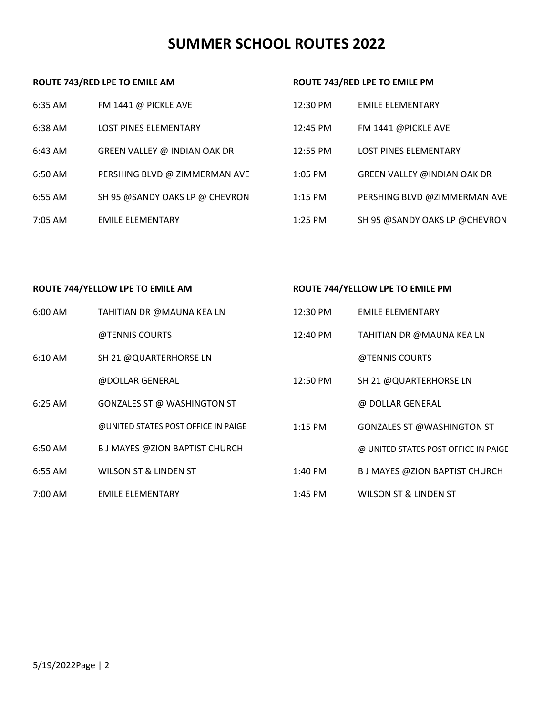## **ROUTE 743/RED LPE TO EMILE AM**

## **ROUTE 743/RED LPE TO EMILE PM**

| $6:35$ AM | FM 1441 @ PICKLE AVE           | 12:30 PM  | <b>EMILE ELEMENTARY</b>            |
|-----------|--------------------------------|-----------|------------------------------------|
| 6:38 AM   | <b>LOST PINES ELEMENTARY</b>   | 12:45 PM  | FM 1441 @PICKLE AVE                |
| 6:43 AM   | GREEN VALLEY @ INDIAN OAK DR   | 12:55 PM  | <b>LOST PINES ELEMENTARY</b>       |
| 6:50 AM   | PERSHING BLVD @ ZIMMERMAN AVE  | $1:05$ PM | <b>GREEN VALLEY @INDIAN OAK DR</b> |
| 6:55 AM   | SH 95 @SANDY OAKS LP @ CHEVRON | $1:15$ PM | PERSHING BLVD @ZIMMERMAN AVE       |
| $7:05$ AM | <b>EMILE ELEMENTARY</b>        | $1:25$ PM | SH 95 @SANDY OAKS LP @CHEVRON      |

| ROUTE 744/YELLOW LPE TO EMILE AM |                                       | ROUTE 744/YELLOW LPE TO EMILE PM |                                      |
|----------------------------------|---------------------------------------|----------------------------------|--------------------------------------|
| $6:00 \text{ AM}$                | TAHITIAN DR @MAUNA KEA LN             | 12:30 PM                         | <b>EMILE ELEMENTARY</b>              |
|                                  | @TENNIS COURTS                        | 12:40 PM                         | TAHITIAN DR @MAUNA KEA LN            |
| $6:10 \text{ AM}$                | SH 21 @QUARTERHORSE LN                |                                  | @TENNIS COURTS                       |
|                                  | @DOLLAR GENERAL                       | 12:50 PM                         | SH 21 @QUARTERHORSE LN               |
| 6:25 AM                          | GONZALES ST @ WASHINGTON ST           |                                  | @ DOLLAR GENERAL                     |
|                                  | @UNITED STATES POST OFFICE IN PAIGE   | $1:15$ PM                        | <b>GONZALES ST @WASHINGTON ST</b>    |
| 6:50 AM                          | <b>B J MAYES @ZION BAPTIST CHURCH</b> |                                  | @ UNITED STATES POST OFFICE IN PAIGE |
| $6:55$ AM                        | WILSON ST & LINDEN ST                 | 1:40 PM                          | B J MAYES @ZION BAPTIST CHURCH       |
| 7:00 AM                          | <b>EMILE ELEMENTARY</b>               | 1:45 PM                          | WILSON ST & LINDEN ST                |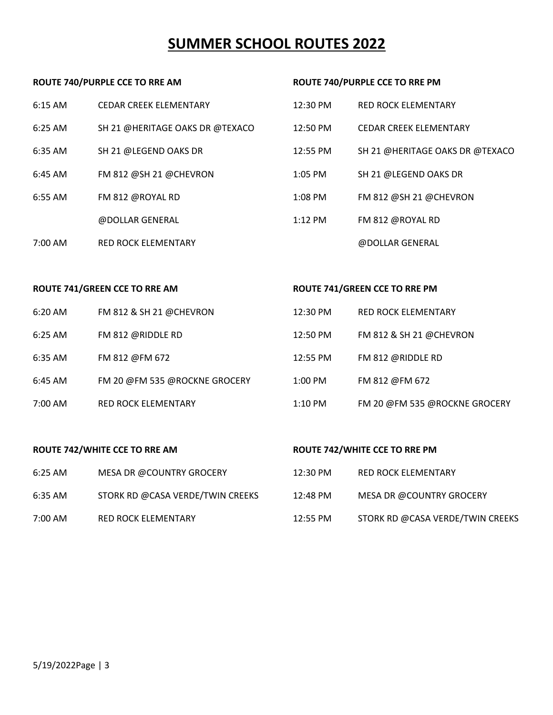#### **ROUTE 740/PURPLE CCE TO RRE AM**

#### **ROUTE 740/PURPLE CCE TO RRE PM**

**ROUTE 741/GREEN CCE TO RRE PM**

**ROUTE 742/WHITE CCE TO RRE PM** 

| $6:15$ AM | <b>CEDAR CREEK ELEMENTARY</b>   | $12:30 \text{ PM}$ | <b>RED ROCK ELEMENTARY</b>      |
|-----------|---------------------------------|--------------------|---------------------------------|
| $6:25$ AM | SH 21 @HERITAGE OAKS DR @TEXACO | 12:50 PM           | <b>CEDAR CREEK ELEMENTARY</b>   |
| $6:35$ AM | SH 21 @LEGEND OAKS DR           | 12:55 PM           | SH 21 @HERITAGE OAKS DR @TEXACO |
| $6:45$ AM | FM 812 @SH 21 @CHEVRON          | $1:05$ PM          | SH 21 @LEGEND OAKS DR           |
| $6:55$ AM | FM 812 @ROYAL RD                | $1:08$ PM          | FM 812 @SH 21 @CHEVRON          |
|           | @DOLLAR GENERAL                 | $1:12$ PM          | FM 812 @ROYAL RD                |
| 7:00 AM   | <b>RED ROCK ELEMENTARY</b>      |                    | @DOLLAR GENERAL                 |

### **ROUTE 741/GREEN CCE TO RRE AM**

| $6:20$ AM | FM 812 & SH 21 @CHEVRON       | $12:30 \text{ PM}$ | <b>RED ROCK ELEMENTARY</b>    |
|-----------|-------------------------------|--------------------|-------------------------------|
| $6:25$ AM | FM 812 @RIDDLE RD             | 12:50 PM           | FM 812 & SH 21 @CHEVRON       |
| $6:35$ AM | FM 812 @FM 672                | 12:55 PM           | FM 812 @RIDDLE RD             |
| $6:45$ AM | FM 20 @FM 535 @ROCKNE GROCERY | $1:00$ PM          | FM 812 @FM 672                |
| 7:00 AM   | <b>RED ROCK ELEMENTARY</b>    | $1:10$ PM          | FM 20 @FM 535 @ROCKNE GROCERY |

## **ROUTE 742/WHITE CCE TO RRE AM**

| 6:25 AM | MESA DR @COUNTRY GROCERY         | $12:30 \text{ PM}$ | RED ROCK ELEMENTARY              |
|---------|----------------------------------|--------------------|----------------------------------|
| 6:35 AM | STORK RD @CASA VERDE/TWIN CREEKS | 12:48 PM           | MESA DR @COUNTRY GROCERY         |
| 7:00 AM | RED ROCK ELEMENTARY              | 12:55 PM           | STORK RD @CASA VERDE/TWIN CREEKS |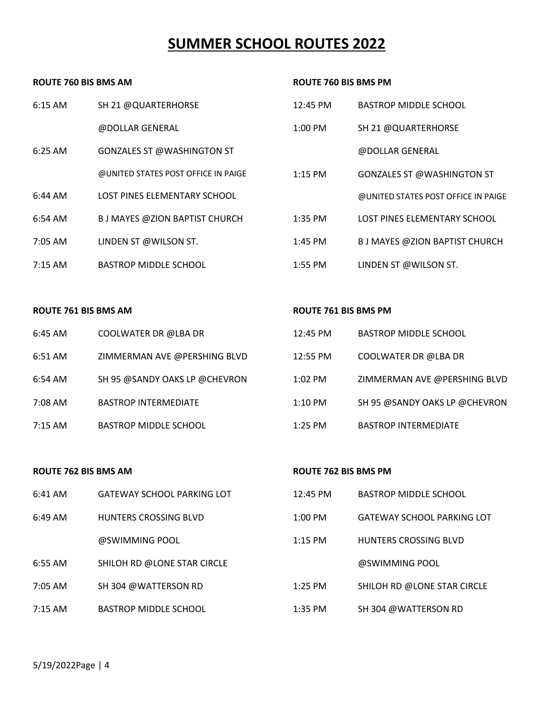#### **ROUTE 760 BIS BMS AM**

#### **ROUTE 760 BIS BMS PM**

**ROUTE 761 BIS BMS PM** 

| $6:15$ AM         | SH 21 @QUARTERHORSE                   | $12:45 \text{ PM}$ | <b>BASTROP MIDDLE SCHOOL</b>        |
|-------------------|---------------------------------------|--------------------|-------------------------------------|
|                   | @DOLLAR GENERAL                       | $1:00$ PM          | SH 21 @QUARTERHORSE                 |
| $6:25$ AM         | <b>GONZALES ST @WASHINGTON ST</b>     |                    | @DOLLAR GENERAL                     |
|                   | @UNITED STATES POST OFFICE IN PAIGE   | $1:15$ PM          | <b>GONZALES ST @WASHINGTON ST</b>   |
| $6:44$ AM         | LOST PINES ELEMENTARY SCHOOL          |                    | @UNITED STATES POST OFFICE IN PAIGE |
| $6:54$ AM         | <b>B J MAYES @ZION BAPTIST CHURCH</b> | $1:35$ PM          | LOST PINES ELEMENTARY SCHOOL        |
| 7:05 AM           | LINDEN ST @WILSON ST.                 | $1:45$ PM          | B J MAYES @ZION BAPTIST CHURCH      |
| $7:15 \text{ AM}$ | <b>BASTROP MIDDLE SCHOOL</b>          | $1:55$ PM          | LINDEN ST @WILSON ST.               |

#### **ROUTE 761 BIS BMS AM**

| 6:45 AM   | COOLWATER DR @LBA DR          | 12:45 PM  | <b>BASTROP MIDDLE SCHOOL</b>  |
|-----------|-------------------------------|-----------|-------------------------------|
| $6:51$ AM | ZIMMERMAN AVE @PERSHING BLVD  | 12:55 PM  | COOLWATER DR @LBA DR          |
| 6:54 AM   | SH 95 @SANDY OAKS LP @CHEVRON | $1:02$ PM | ZIMMERMAN AVE @PERSHING BLVD  |
| 7:08 AM   | <b>BASTROP INTERMEDIATE</b>   | $1:10$ PM | SH 95 @SANDY OAKS LP @CHEVRON |
| 7:15 AM   | <b>BASTROP MIDDLE SCHOOL</b>  | $1:25$ PM | <b>BASTROP INTERMEDIATE</b>   |

**ROUTE 762 BIS BMS AM**  6:41 AM GATEWAY SCHOOL PARKING LOT 6:49 AM HUNTERS CROSSING BLVD @SWIMMING POOL 6:55 AM SHILOH RD @LONE STAR CIRCLE 7:05 AM SH 304 @WATTERSON RD 7:15 AM BASTROP MIDDLE SCHOOL **ROUTE 762 BIS BMS PM**  12:45 PM BASTROP MIDDLE SCHOOL 1:00 PM GATEWAY SCHOOL PARKING LOT 1:15 PM HUNTERS CROSSING BLVD @SWIMMING POOL 1:25 PM SHILOH RD @LONE STAR CIRCLE 1:35 PM SH 304 @WATTERSON RD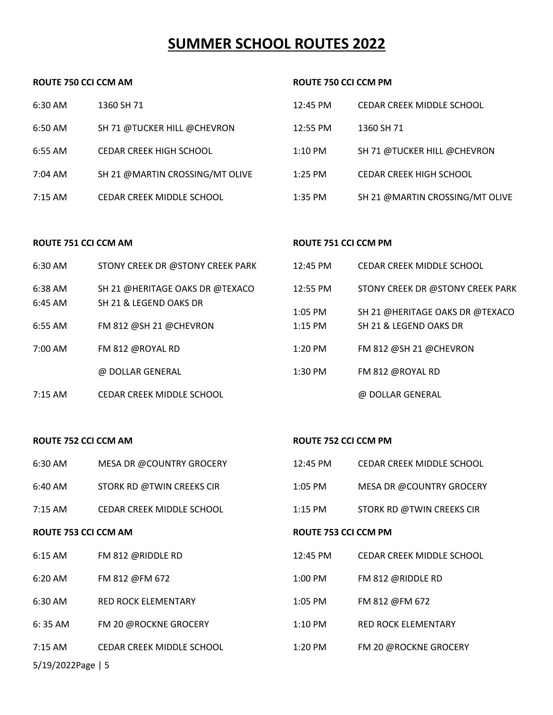#### **ROUTE 750 CCI CCM AM**

| 6:30 AM | 1360 SH 71                       | 12:45 PM  | CEDAR CREEK MIDDLE SCHOOL       |
|---------|----------------------------------|-----------|---------------------------------|
| 6:50 AM | SH 71 @TUCKER HILL @CHEVRON      | 12:55 PM  | 1360 SH 71                      |
| 6:55 AM | <b>CEDAR CREEK HIGH SCHOOL</b>   | $1:10$ PM | SH 71 @TUCKER HILL @CHEVRON     |
| 7:04 AM | SH 21 @MARTIN CROSSING/MT OLIVE  | $1:25$ PM | <b>CEDAR CREEK HIGH SCHOOL</b>  |
| 7:15 AM | <b>CEDAR CREEK MIDDLE SCHOOL</b> | $1:35$ PM | SH 21 @MARTIN CROSSING/MT OLIVE |

#### **ROUTE 751 CCI CCM AM**

#### **ROUTE 751 CCI CCM PM**

**ROUTE 752 CCI CCM PM** 

**ROUTE 750 CCI CCM PM** 

| $6:30$ AM         | STONY CREEK DR @STONY CREEK PARK | 12:45 PM  | <b>CEDAR CREEK MIDDLE SCHOOL</b> |
|-------------------|----------------------------------|-----------|----------------------------------|
| 6:38 AM           | SH 21 @HERITAGE OAKS DR @TEXACO  | 12:55 PM  | STONY CREEK DR @STONY CREEK PARK |
| $6:45$ AM         | SH 21 & LEGEND OAKS DR           | $1:05$ PM | SH 21 @HERITAGE OAKS DR @TEXACO  |
| $6:55$ AM         | FM 812 @SH 21 @CHEVRON           | $1:15$ PM | SH 21 & LEGEND OAKS DR           |
| 7:00 AM           | FM 812 @ROYAL RD                 | $1:20$ PM | FM 812 @SH 21 @CHEVRON           |
|                   | @ DOLLAR GENERAL                 | $1:30$ PM | FM 812 @ROYAL RD                 |
| $7:15 \text{ AM}$ | <b>CEDAR CREEK MIDDLE SCHOOL</b> |           | @ DOLLAR GENERAL                 |

#### **ROUTE 752 CCI CCM AM**

| 6:30 AM                     | MESA DR @COUNTRY GROCERY         | 12:45 PM             | CEDAR CREEK MIDDLE SCHOOL  |  |  |
|-----------------------------|----------------------------------|----------------------|----------------------------|--|--|
| 6:40 AM                     | STORK RD @TWIN CREEKS CIR        | $1:05$ PM            | MESA DR @COUNTRY GROCERY   |  |  |
| $7:15 \text{ AM}$           | <b>CEDAR CREEK MIDDLE SCHOOL</b> | $1:15$ PM            | STORK RD @TWIN CREEKS CIR  |  |  |
| <b>ROUTE 753 CCI CCM AM</b> |                                  | ROUTE 753 CCI CCM PM |                            |  |  |
| $6:15 \text{ AM}$           | FM 812 @RIDDLE RD                | 12:45 PM             | CEDAR CREEK MIDDLE SCHOOL  |  |  |
| $6:20$ AM                   | FM 812 @FM 672                   | $1:00$ PM            | FM 812 @RIDDLE RD          |  |  |
| $6:30$ AM                   | <b>RED ROCK ELEMENTARY</b>       | $1:05$ PM            | FM 812 @FM 672             |  |  |
| 6:35AM                      | FM 20 @ROCKNE GROCERY            | $1:10$ PM            | <b>RED ROCK ELEMENTARY</b> |  |  |
| $7:15 \text{ AM}$           | <b>CEDAR CREEK MIDDLE SCHOOL</b> | $1:20$ PM            | FM 20 @ROCKNE GROCERY      |  |  |
| 5/19/2022Page   5           |                                  |                      |                            |  |  |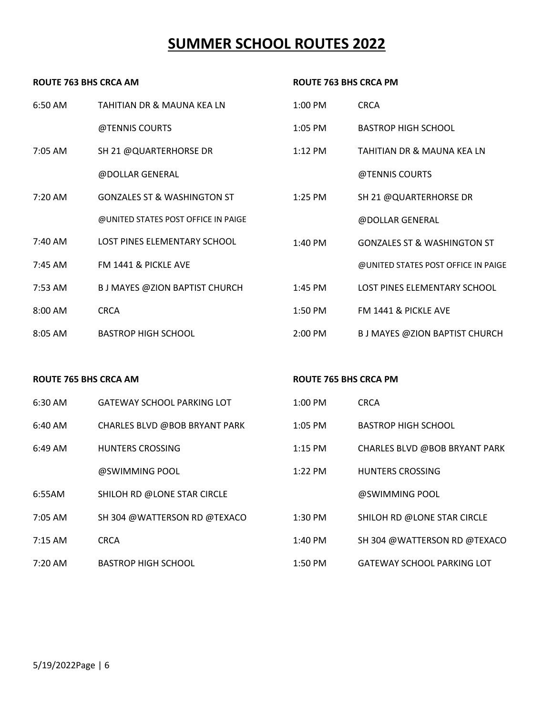| <b>ROUTE 763 BHS CRCA AM</b> |                                        | <b>ROUTE 763 BHS CRCA PM</b> |                                        |
|------------------------------|----------------------------------------|------------------------------|----------------------------------------|
| $6:50 \text{ AM}$            | TAHITIAN DR & MAUNA KEA LN             | $1:00$ PM                    | <b>CRCA</b>                            |
|                              | @TENNIS COURTS                         | $1:05$ PM                    | BASTROP HIGH SCHOOL                    |
| 7:05 AM                      | SH 21 @QUARTERHORSE DR                 | $1:12$ PM                    | TAHITIAN DR & MAUNA KEA LN             |
|                              | @DOLLAR GENERAL                        |                              | @TENNIS COURTS                         |
| $7:20$ AM                    | <b>GONZALES ST &amp; WASHINGTON ST</b> | $1:25$ PM                    | SH 21 @QUARTERHORSE DR                 |
|                              | @UNITED STATES POST OFFICE IN PAIGE    |                              | @DOLLAR GENERAL                        |
| $7:40 \text{ AM}$            | LOST PINES ELEMENTARY SCHOOL           | $1:40 \text{ PM}$            | <b>GONZALES ST &amp; WASHINGTON ST</b> |
| $7:45$ AM                    | FM 1441 & PICKLE AVE                   |                              | @UNITED STATES POST OFFICE IN PAIGE    |
| $7:53 \text{ AM}$            | B J MAYES @ZION BAPTIST CHURCH         | $1:45$ PM                    | LOST PINES ELEMENTARY SCHOOL           |
| $8:00$ AM                    | <b>CRCA</b>                            | $1:50$ PM                    | FM 1441 & PICKLE AVE                   |
| 8:05 AM                      | <b>BASTROP HIGH SCHOOL</b>             | 2:00 PM                      | B J MAYES @ZION BAPTIST CHURCH         |
|                              |                                        |                              |                                        |

| <b>ROUTE 765 BHS CRCA AM</b> |                                      | ROUTE 765 BHS CRCA PM |                                      |
|------------------------------|--------------------------------------|-----------------------|--------------------------------------|
| $6:30$ AM                    | <b>GATEWAY SCHOOL PARKING LOT</b>    | $1:00$ PM             | <b>CRCA</b>                          |
| $6:40 \text{ AM}$            | <b>CHARLES BLVD @BOB BRYANT PARK</b> | $1:05$ PM             | <b>BASTROP HIGH SCHOOL</b>           |
| $6:49 \text{ AM}$            | <b>HUNTERS CROSSING</b>              | $1:15$ PM             | <b>CHARLES BLVD @BOB BRYANT PARK</b> |
|                              | @SWIMMING POOL                       | $1:22$ PM             | <b>HUNTERS CROSSING</b>              |
| 6:55AM                       | SHILOH RD @LONE STAR CIRCLE          |                       | @SWIMMING POOL                       |
| 7:05 AM                      | SH 304 @WATTERSON RD @TEXACO         | $1:30$ PM             | SHILOH RD @LONE STAR CIRCLE          |
| $7:15$ AM                    | <b>CRCA</b>                          | $1:40$ PM             | SH 304 @WATTERSON RD @TEXACO         |
| $7:20$ AM                    | <b>BASTROP HIGH SCHOOL</b>           | $1:50$ PM             | <b>GATEWAY SCHOOL PARKING LOT</b>    |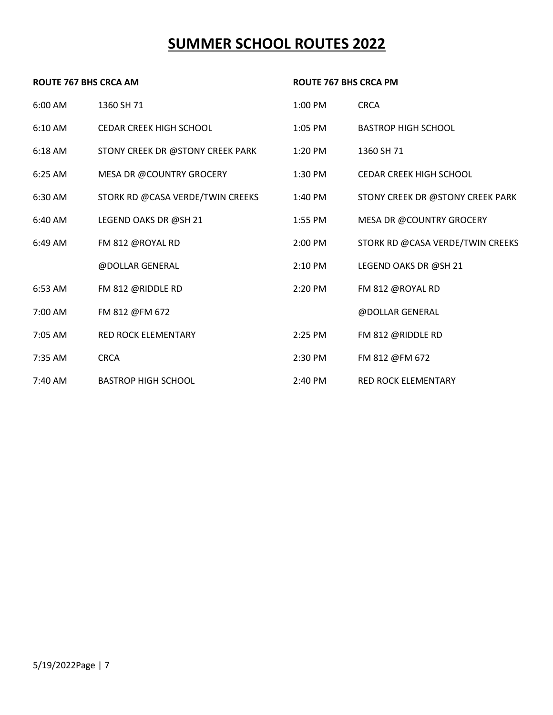| <b>ROUTE 767 BHS CRCA AM</b> |                                  | <b>ROUTE 767 BHS CRCA PM</b> |                                  |
|------------------------------|----------------------------------|------------------------------|----------------------------------|
| 6:00 AM                      | 1360 SH 71                       | 1:00 PM                      | <b>CRCA</b>                      |
| $6:10$ AM                    | <b>CEDAR CREEK HIGH SCHOOL</b>   | 1:05 PM                      | <b>BASTROP HIGH SCHOOL</b>       |
| $6:18$ AM                    | STONY CREEK DR @STONY CREEK PARK | 1:20 PM                      | 1360 SH 71                       |
| 6:25 AM                      | MESA DR @COUNTRY GROCERY         | 1:30 PM                      | <b>CEDAR CREEK HIGH SCHOOL</b>   |
| 6:30 AM                      | STORK RD @CASA VERDE/TWIN CREEKS | 1:40 PM                      | STONY CREEK DR @STONY CREEK PARK |
| 6:40 AM                      | LEGEND OAKS DR @SH 21            | 1:55 PM                      | MESA DR @COUNTRY GROCERY         |
| 6:49 AM                      | FM 812 @ROYAL RD                 | 2:00 PM                      | STORK RD @CASA VERDE/TWIN CREEKS |
|                              | @DOLLAR GENERAL                  | 2:10 PM                      | LEGEND OAKS DR @SH 21            |
| 6:53 AM                      | FM 812 @RIDDLE RD                | 2:20 PM                      | FM 812 @ROYAL RD                 |
| 7:00 AM                      | FM 812 @FM 672                   |                              | @DOLLAR GENERAL                  |
| 7:05 AM                      | <b>RED ROCK ELEMENTARY</b>       | 2:25 PM                      | FM 812 @RIDDLE RD                |
| 7:35 AM                      | <b>CRCA</b>                      | 2:30 PM                      | FM 812 @FM 672                   |
| 7:40 AM                      | <b>BASTROP HIGH SCHOOL</b>       | 2:40 PM                      | <b>RED ROCK ELEMENTARY</b>       |